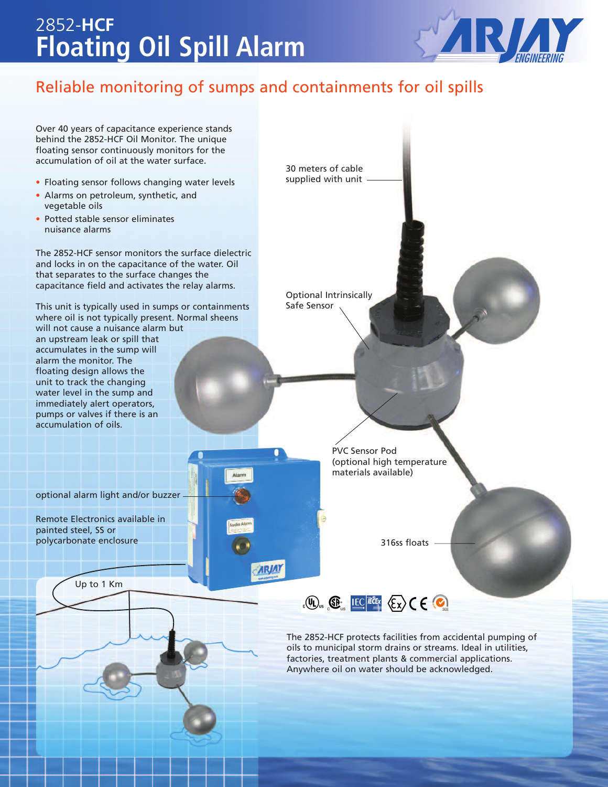## **Floating Oil Spill Alarm** 2852-**HCF**



### Reliable monitoring of sumps and containments for oil spills

**ARJAY** 

Over 40 years of capacitance experience stands behind the 2852-HCF Oil Monitor. The unique floating sensor continuously monitors for the accumulation of oil at the water surface.

- Floating sensor follows changing water levels
- Alarms on petroleum, synthetic, and vegetable oils
- Potted stable sensor eliminates nuisance alarms

The 2852-HCF sensor monitors the surface dielectric and locks in on the capacitance of the water. Oil that separates to the surface changes the capacitance field and activates the relay alarms.

This unit is typically used in sumps or containments where oil is not typically present. Normal sheens will not cause a nuisance alarm but an upstream leak or spill that accumulates in the sump will alarm the monitor. The floating design allows the unit to track the changing water level in the sump and immediately alert operators, pumps or valves if there is an accumulation of oils.

optional alarm light and/or buzzer

Remote Electronics available in painted steel, SS or polycarbonate enclosure

Up to 1 Km

30 meters of cable supplied with unit

Optional Intrinsically Safe Sensor

> PVC Sensor Pod (optional high temperature materials available)

> > 316ss floats



The 2852-HCF protects facilities from accidental pumping of oils to municipal storm drains or streams. Ideal in utilities, factories, treatment plants & commercial applications. Anywhere oil on water should be acknowledged.